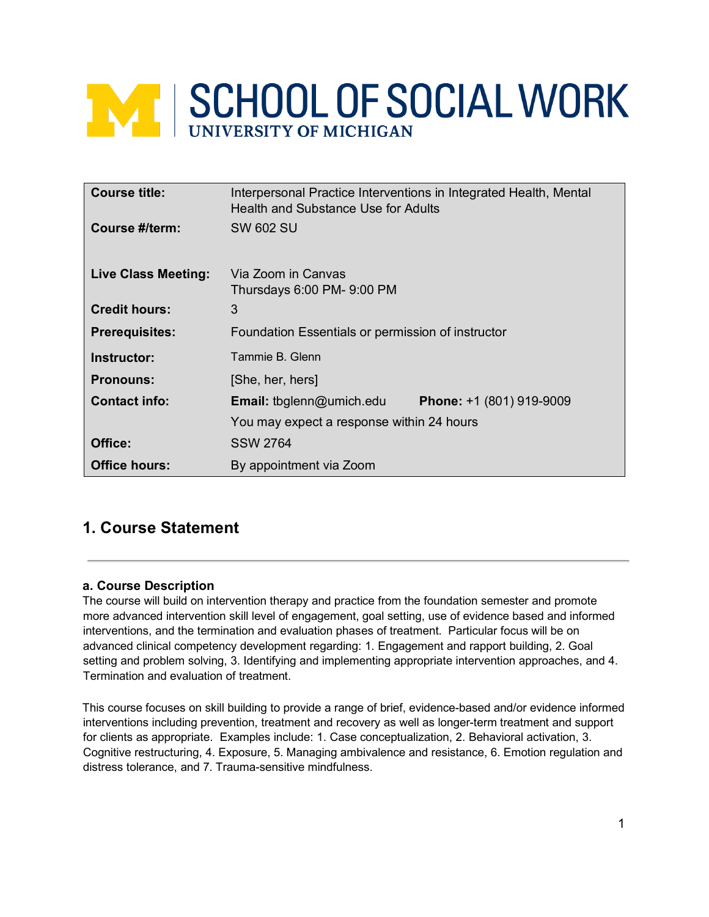# **NEW SCHOOL OF SOCIAL WORK**

| <b>Course title:</b>       | Interpersonal Practice Interventions in Integrated Health, Mental<br>Health and Substance Use for Adults |
|----------------------------|----------------------------------------------------------------------------------------------------------|
| Course #/term:             | <b>SW 602 SU</b>                                                                                         |
| <b>Live Class Meeting:</b> | Via Zoom in Canvas<br>Thursdays 6:00 PM- 9:00 PM                                                         |
| <b>Credit hours:</b>       | 3                                                                                                        |
| <b>Prerequisites:</b>      | Foundation Essentials or permission of instructor                                                        |
| Instructor:                | Tammie B. Glenn                                                                                          |
| <b>Pronouns:</b>           | [She, her, hers]                                                                                         |
| <b>Contact info:</b>       | <b>Email:</b> tbglenn@umich.edu<br>Phone: +1 (801) 919-9009                                              |
|                            | You may expect a response within 24 hours                                                                |
| Office:                    | <b>SSW 2764</b>                                                                                          |
| <b>Office hours:</b>       | By appointment via Zoom                                                                                  |

# **1. Course Statement**

# **a. Course Description**

The course will build on intervention therapy and practice from the foundation semester and promote more advanced intervention skill level of engagement, goal setting, use of evidence based and informed interventions, and the termination and evaluation phases of treatment. Particular focus will be on advanced clinical competency development regarding: 1. Engagement and rapport building, 2. Goal setting and problem solving, 3. Identifying and implementing appropriate intervention approaches, and 4. Termination and evaluation of treatment.

This course focuses on skill building to provide a range of brief, evidence-based and/or evidence informed interventions including prevention, treatment and recovery as well as longer-term treatment and support for clients as appropriate. Examples include: 1. Case conceptualization, 2. Behavioral activation, 3. Cognitive restructuring, 4. Exposure, 5. Managing ambivalence and resistance, 6. Emotion regulation and distress tolerance, and 7. Trauma-sensitive mindfulness.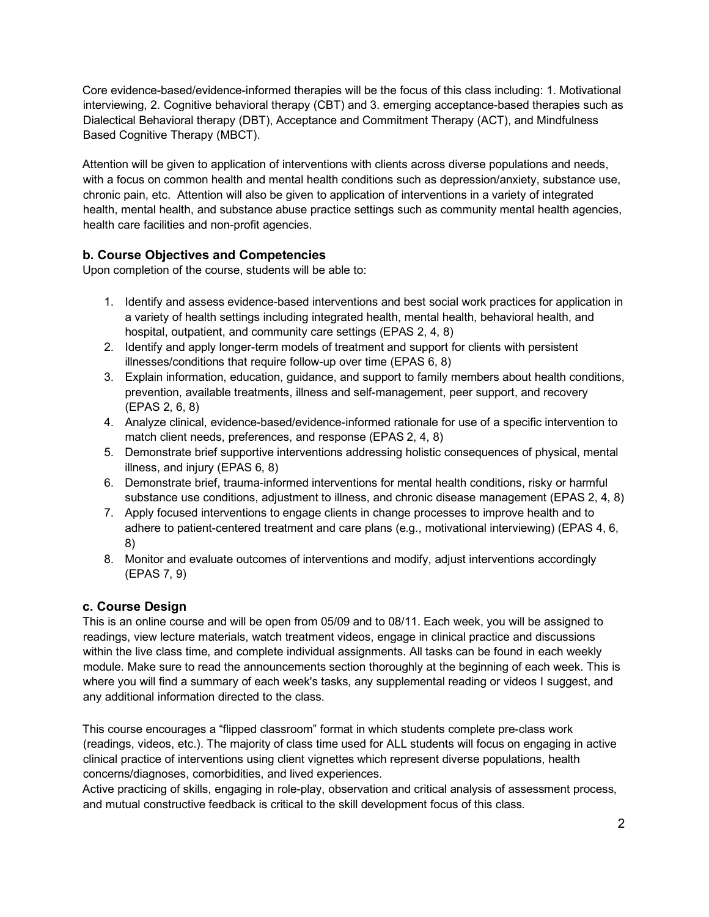Core evidence-based/evidence-informed therapies will be the focus of this class including: 1. Motivational interviewing, 2. Cognitive behavioral therapy (CBT) and 3. emerging acceptance-based therapies such as Dialectical Behavioral therapy (DBT), Acceptance and Commitment Therapy (ACT), and Mindfulness Based Cognitive Therapy (MBCT).

Attention will be given to application of interventions with clients across diverse populations and needs, with a focus on common health and mental health conditions such as depression/anxiety, substance use, chronic pain, etc. Attention will also be given to application of interventions in a variety of integrated health, mental health, and substance abuse practice settings such as community mental health agencies, health care facilities and non-profit agencies.

# **b. Course Objectives and Competencies**

Upon completion of the course, students will be able to:

- 1. Identify and assess evidence-based interventions and best social work practices for application in a variety of health settings including integrated health, mental health, behavioral health, and hospital, outpatient, and community care settings (EPAS 2, 4, 8)
- 2. Identify and apply longer-term models of treatment and support for clients with persistent illnesses/conditions that require follow-up over time (EPAS 6, 8)
- 3. Explain information, education, guidance, and support to family members about health conditions, prevention, available treatments, illness and self-management, peer support, and recovery (EPAS 2, 6, 8)
- 4. Analyze clinical, evidence-based/evidence-informed rationale for use of a specific intervention to match client needs, preferences, and response (EPAS 2, 4, 8)
- 5. Demonstrate brief supportive interventions addressing holistic consequences of physical, mental illness, and injury (EPAS 6, 8)
- 6. Demonstrate brief, trauma-informed interventions for mental health conditions, risky or harmful substance use conditions, adjustment to illness, and chronic disease management (EPAS 2, 4, 8)
- 7. Apply focused interventions to engage clients in change processes to improve health and to adhere to patient-centered treatment and care plans (e.g., motivational interviewing) (EPAS 4, 6, 8)
- 8. Monitor and evaluate outcomes of interventions and modify, adjust interventions accordingly (EPAS 7, 9)

# **c. Course Design**

This is an online course and will be open from 05/09 and to 08/11. Each week, you will be assigned to readings, view lecture materials, watch treatment videos, engage in clinical practice and discussions within the live class time, and complete individual assignments. All tasks can be found in each weekly module. Make sure to read the announcements section thoroughly at the beginning of each week. This is where you will find a summary of each week's tasks, any supplemental reading or videos I suggest, and any additional information directed to the class.

This course encourages a "flipped classroom" format in which students complete pre-class work (readings, videos, etc.). The majority of class time used for ALL students will focus on engaging in active clinical practice of interventions using client vignettes which represent diverse populations, health concerns/diagnoses, comorbidities, and lived experiences.

Active practicing of skills, engaging in role-play, observation and critical analysis of assessment process, and mutual constructive feedback is critical to the skill development focus of this class.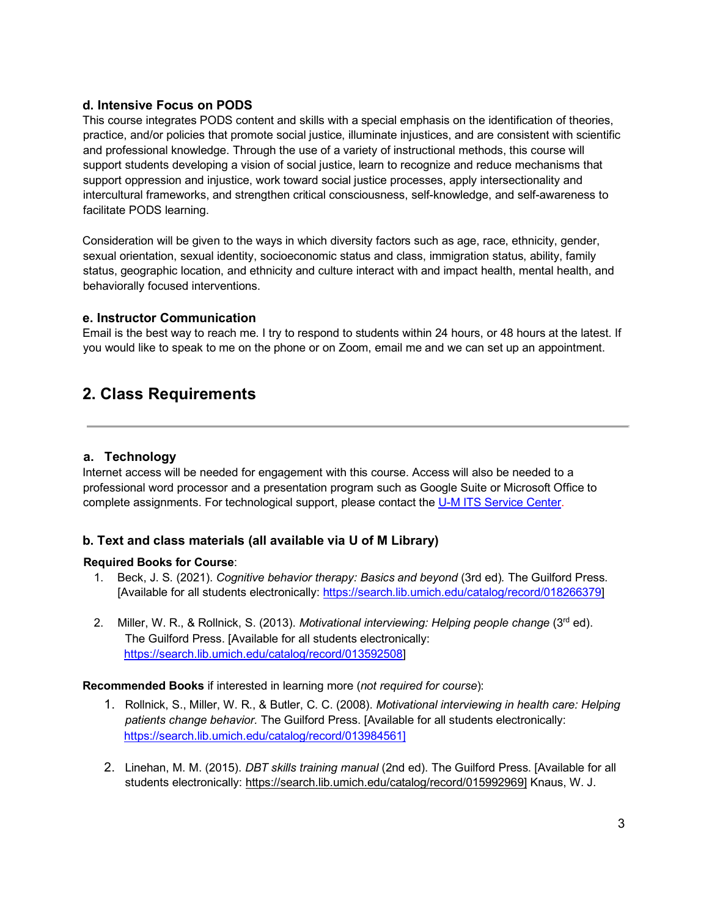#### **d. Intensive Focus on PODS**

This course integrates PODS content and skills with a special emphasis on the identification of theories, practice, and/or policies that promote social justice, illuminate injustices, and are consistent with scientific and professional knowledge. Through the use of a variety of instructional methods, this course will support students developing a vision of social justice, learn to recognize and reduce mechanisms that support oppression and injustice, work toward social justice processes, apply intersectionality and intercultural frameworks, and strengthen critical consciousness, self-knowledge, and self-awareness to facilitate PODS learning.

Consideration will be given to the ways in which diversity factors such as age, race, ethnicity, gender, sexual orientation, sexual identity, socioeconomic status and class, immigration status, ability, family status, geographic location, and ethnicity and culture interact with and impact health, mental health, and behaviorally focused interventions.

#### **e. Instructor Communication**

Email is the best way to reach me. I try to respond to students within 24 hours, or 48 hours at the latest. If you would like to speak to me on the phone or on Zoom, email me and we can set up an appointment.

# **2. Class Requirements**

#### **a. Technology**

Internet access will be needed for engagement with this course. Access will also be needed to a professional word processor and a presentation program such as Google Suite or Microsoft Office to complete assignments. For technological support, please contact the U-M ITS Service Center.

## **b. Text and class materials (all available via U of M Library)**

#### **Required Books for Course**:

- 1. Beck, J. S. (2021). *Cognitive behavior therapy: Basics and beyond* (3rd ed)*.* The Guilford Press. [Available for all students electronically: [https://search.lib.umich.edu/catalog/record/018266379\]](https://search.lib.umich.edu/catalog/record/018266379)
- 2. Miller, W. R., & Rollnick, S. (2013). *Motivational interviewing: Helping people change* (3rd ed). The Guilford Press. [Available for all students electronically: [https://search.lib.umich.edu/catalog/record/013592508\]](https://search.lib.umich.edu/catalog/record/013592508)

#### **Recommended Books** if interested in learning more (*not required for course*):

- 1. Rollnick, S., Miller, W. R., & Butler, C. C. (2008). *Motivational interviewing in health care: Helping patients change behavior.* The Guilford Press. [Available for all students electronically: [https://search.lib.umich.edu/catalog/record/013984561\]](https://search.lib.umich.edu/catalog/record/013984561)
- 2. Linehan, M. M. (2015). *DBT skills training manual* (2nd ed). The Guilford Press. [Available for all students electronically: [https://search.lib.umich.edu/catalog/record/015992969\]](https://search.lib.umich.edu/catalog/record/015992969) Knaus, W. J.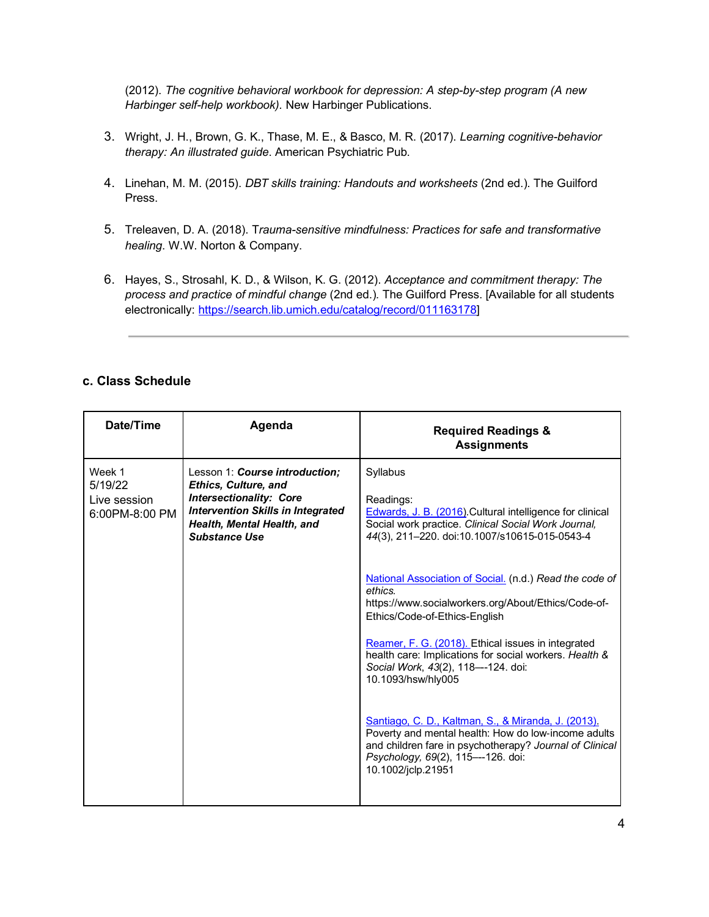(2012). *The cognitive behavioral workbook for depression: A step-by-step program (A new Harbinger self-help workbook).* New Harbinger Publications.

- 3. Wright, J. H., Brown, G. K., Thase, M. E., & Basco, M. R. (2017). *Learning cognitive-behavior therapy: An illustrated guide*. American Psychiatric Pub.
- 4. Linehan, M. M. (2015). *DBT skills training: Handouts and worksheets* (2nd ed.). The Guilford Press.
- 5. Treleaven, D. A. (2018). T*rauma-sensitive mindfulness: Practices for safe and transformative healing*. W.W. Norton & Company.
- 6. Hayes, S., Strosahl, K. D., & Wilson, K. G. (2012). *Acceptance and commitment therapy: The process and practice of mindful change* (2nd ed.)*.* The Guilford Press. [Available for all students electronically: [https://search.lib.umich.edu/catalog/record/011163178\]](https://search.lib.umich.edu/catalog/record/011163178)

## **c. Class Schedule**

| Date/Time                                           | Agenda                                                                                                                                                                                            | <b>Required Readings &amp;</b><br><b>Assignments</b>                                                                                                                                                                              |
|-----------------------------------------------------|---------------------------------------------------------------------------------------------------------------------------------------------------------------------------------------------------|-----------------------------------------------------------------------------------------------------------------------------------------------------------------------------------------------------------------------------------|
| Week 1<br>5/19/22<br>Live session<br>6:00PM-8:00 PM | Lesson 1: Course introduction;<br><b>Ethics, Culture, and</b><br><b>Intersectionality: Core</b><br><b>Intervention Skills in Integrated</b><br>Health, Mental Health, and<br><b>Substance Use</b> | Syllabus<br>Readings:<br>Edwards, J. B. (2016). Cultural intelligence for clinical<br>Social work practice. Clinical Social Work Journal,<br>44(3), 211-220. doi:10.1007/s10615-015-0543-4                                        |
|                                                     |                                                                                                                                                                                                   | National Association of Social. (n.d.) Read the code of<br>ethics.<br>https://www.socialworkers.org/About/Ethics/Code-of-<br>Ethics/Code-of-Ethics-English                                                                        |
|                                                     |                                                                                                                                                                                                   | Reamer, F. G. (2018). Ethical issues in integrated<br>health care: Implications for social workers. Health &<br>Social Work, 43(2), 118---124. doi:<br>10.1093/hsw/hly005                                                         |
|                                                     |                                                                                                                                                                                                   | Santiago, C. D., Kaltman, S., & Miranda, J. (2013).<br>Poverty and mental health: How do low-income adults<br>and children fare in psychotherapy? Journal of Clinical<br>Psychology, 69(2), 115---126. doi:<br>10.1002/jclp.21951 |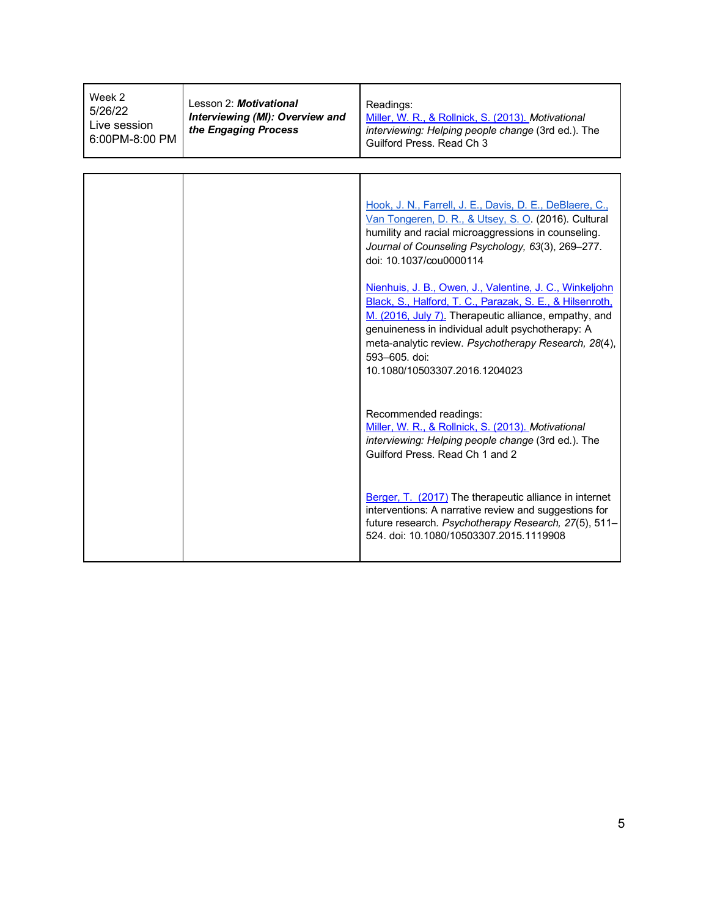| Week 2<br>5/26/22<br>Live session<br>6:00PM-8:00 PM | Lesson 2: Motivational<br>Interviewing (MI): Overview and<br>the Engaging Process | Readings:<br>Miller, W. R., & Rollnick, S. (2013). Motivational<br>interviewing: Helping people change (3rd ed.). The<br>Guilford Press, Read Ch 3                                                                                                                                                                                         |
|-----------------------------------------------------|-----------------------------------------------------------------------------------|--------------------------------------------------------------------------------------------------------------------------------------------------------------------------------------------------------------------------------------------------------------------------------------------------------------------------------------------|
|                                                     |                                                                                   |                                                                                                                                                                                                                                                                                                                                            |
|                                                     |                                                                                   | Hook, J. N., Farrell, J. E., Davis, D. E., DeBlaere, C.,<br>Van Tongeren, D. R., & Utsey, S. O. (2016). Cultural<br>humility and racial microaggressions in counseling.<br>Journal of Counseling Psychology, 63(3), 269-277.<br>doi: 10.1037/cou0000114                                                                                    |
|                                                     |                                                                                   | Nienhuis, J. B., Owen, J., Valentine, J. C., Winkeljohn<br>Black, S., Halford, T. C., Parazak, S. E., & Hilsenroth,<br>M. (2016, July 7). Therapeutic alliance, empathy, and<br>genuineness in individual adult psychotherapy: A<br>meta-analytic review. Psychotherapy Research, 28(4),<br>593-605. doi:<br>10.1080/10503307.2016.1204023 |
|                                                     |                                                                                   | Recommended readings:<br>Miller, W. R., & Rollnick, S. (2013). Motivational<br>interviewing: Helping people change (3rd ed.). The<br>Guilford Press. Read Ch 1 and 2                                                                                                                                                                       |
|                                                     |                                                                                   | Berger, T. (2017) The therapeutic alliance in internet<br>interventions: A narrative review and suggestions for<br>future research. Psychotherapy Research, 27(5), 511-<br>524. doi: 10.1080/10503307.2015.1119908                                                                                                                         |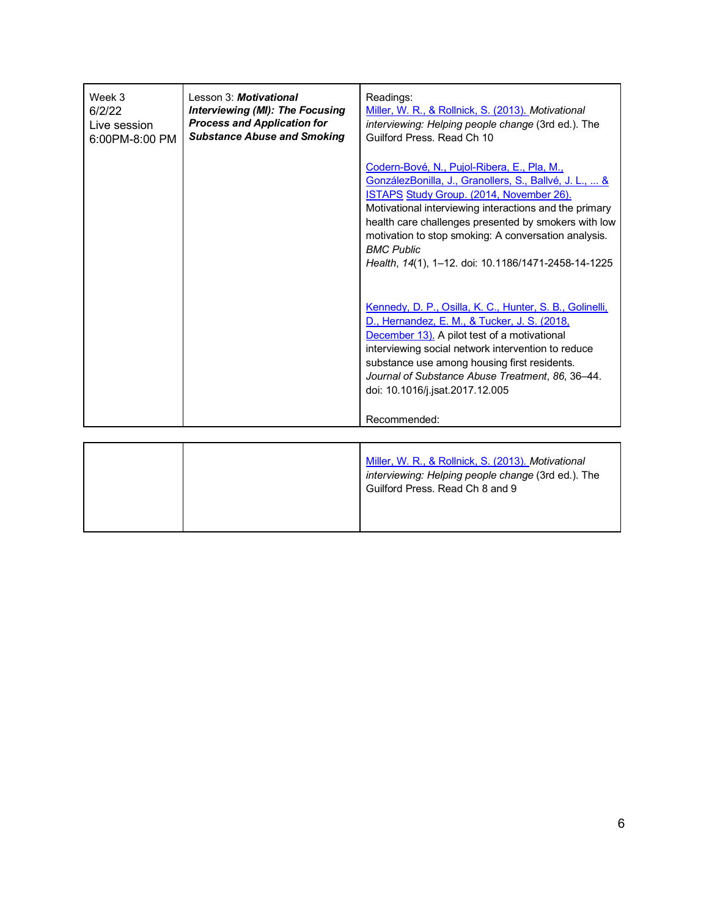| Codern-Bové, N., Pujol-Ribera, E., Pla, M.,<br><u>GonzálezBonilla, J., Granollers, S., Ballvé, J. L.,  &amp;</u><br>ISTAPS Study Group. (2014, November 26).<br>Motivational interviewing interactions and the primary<br>motivation to stop smoking: A conversation analysis.<br><b>BMC Public</b><br>Health, 14(1), 1-12. doi: 10.1186/1471-2458-14-1225<br>Kennedy, D. P., Osilla, K. C., Hunter, S. B., Golinelli,<br>D., Hernandez, E. M., & Tucker, J. S. (2018,<br>December 13). A pilot test of a motivational<br>interviewing social network intervention to reduce<br>substance use among housing first residents.<br>Journal of Substance Abuse Treatment, 86, 36-44.<br>doi: 10.1016/j.jsat.2017.12.005<br>Recommended: | Week 3<br>6/2/22<br>Live session<br>6:00PM-8:00 PM | Lesson 3: <b>Motivational</b><br><b>Interviewing (MI): The Focusing</b><br><b>Process and Application for</b><br><b>Substance Abuse and Smoking</b> | Readings:<br>Miller, W. R., & Rollnick, S. (2013). Motivational<br>interviewing: Helping people change (3rd ed.). The<br>Guilford Press, Read Ch 10 |
|-------------------------------------------------------------------------------------------------------------------------------------------------------------------------------------------------------------------------------------------------------------------------------------------------------------------------------------------------------------------------------------------------------------------------------------------------------------------------------------------------------------------------------------------------------------------------------------------------------------------------------------------------------------------------------------------------------------------------------------|----------------------------------------------------|-----------------------------------------------------------------------------------------------------------------------------------------------------|-----------------------------------------------------------------------------------------------------------------------------------------------------|
|                                                                                                                                                                                                                                                                                                                                                                                                                                                                                                                                                                                                                                                                                                                                     |                                                    |                                                                                                                                                     | health care challenges presented by smokers with low                                                                                                |
|                                                                                                                                                                                                                                                                                                                                                                                                                                                                                                                                                                                                                                                                                                                                     |                                                    |                                                                                                                                                     |                                                                                                                                                     |
|                                                                                                                                                                                                                                                                                                                                                                                                                                                                                                                                                                                                                                                                                                                                     |                                                    |                                                                                                                                                     |                                                                                                                                                     |

|  | Miller, W. R., & Rollnick, S. (2013). Motivational<br>interviewing: Helping people change (3rd ed.). The<br>Guilford Press. Read Ch 8 and 9 |
|--|---------------------------------------------------------------------------------------------------------------------------------------------|
|  |                                                                                                                                             |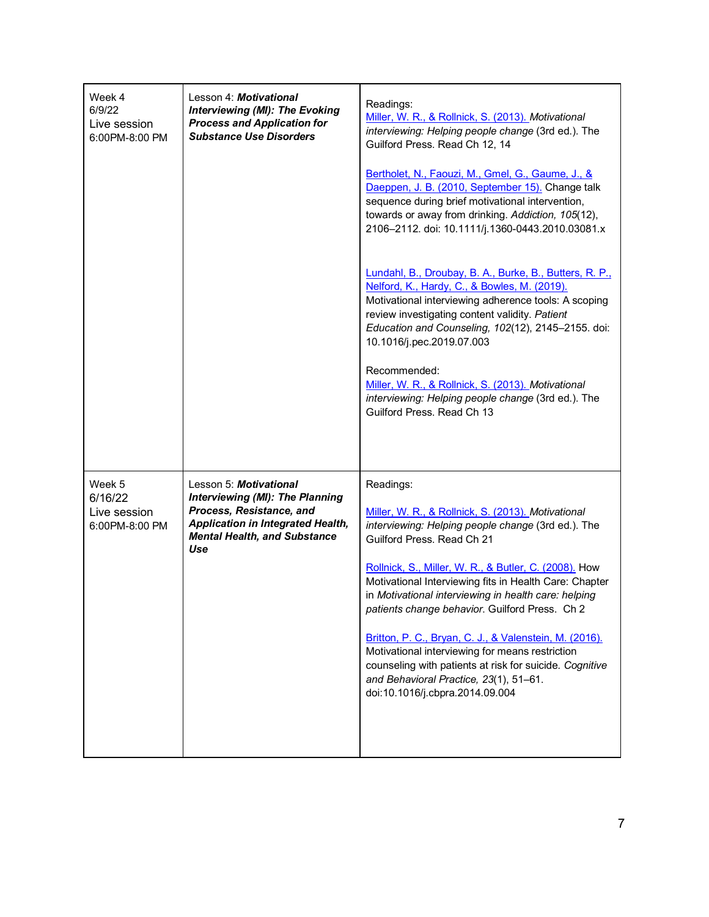| Week 4<br>6/9/22<br>Live session<br>6:00PM-8:00 PM  | Lesson 4: Motivational<br><b>Interviewing (MI): The Evoking</b><br><b>Process and Application for</b><br><b>Substance Use Disorders</b>                                                | Readings:<br>Miller, W. R., & Rollnick, S. (2013). Motivational<br>interviewing: Helping people change (3rd ed.). The<br>Guilford Press. Read Ch 12, 14<br>Bertholet, N., Faouzi, M., Gmel, G., Gaume, J., &<br>Daeppen, J. B. (2010, September 15). Change talk<br>sequence during brief motivational intervention,<br>towards or away from drinking. Addiction, 105(12),<br>2106-2112. doi: 10.1111/j.1360-0443.2010.03081.x<br>Lundahl, B., Droubay, B. A., Burke, B., Butters, R. P.,<br>Nelford, K., Hardy, C., & Bowles, M. (2019).<br>Motivational interviewing adherence tools: A scoping<br>review investigating content validity. Patient<br>Education and Counseling, 102(12), 2145-2155. doi:<br>10.1016/j.pec.2019.07.003<br>Recommended:<br>Miller, W. R., & Rollnick, S. (2013). Motivational<br>interviewing: Helping people change (3rd ed.). The<br>Guilford Press. Read Ch 13 |
|-----------------------------------------------------|----------------------------------------------------------------------------------------------------------------------------------------------------------------------------------------|--------------------------------------------------------------------------------------------------------------------------------------------------------------------------------------------------------------------------------------------------------------------------------------------------------------------------------------------------------------------------------------------------------------------------------------------------------------------------------------------------------------------------------------------------------------------------------------------------------------------------------------------------------------------------------------------------------------------------------------------------------------------------------------------------------------------------------------------------------------------------------------------------|
| Week 5<br>6/16/22<br>Live session<br>6:00PM-8:00 PM | Lesson 5: Motivational<br><b>Interviewing (MI): The Planning</b><br>Process, Resistance, and<br><b>Application in Integrated Health,</b><br><b>Mental Health, and Substance</b><br>Use | Readings:<br>Miller, W. R., & Rollnick, S. (2013). Motivational<br>interviewing: Helping people change (3rd ed.). The<br>Guilford Press, Read Ch 21<br>Rollnick, S., Miller, W. R., & Butler, C. (2008). How<br>Motivational Interviewing fits in Health Care: Chapter<br>in Motivational interviewing in health care: helping<br>patients change behavior. Guilford Press. Ch 2<br>Britton, P. C., Bryan, C. J., & Valenstein, M. (2016).<br>Motivational interviewing for means restriction<br>counseling with patients at risk for suicide. Cognitive<br>and Behavioral Practice, 23(1), 51-61.<br>doi:10.1016/j.cbpra.2014.09.004                                                                                                                                                                                                                                                            |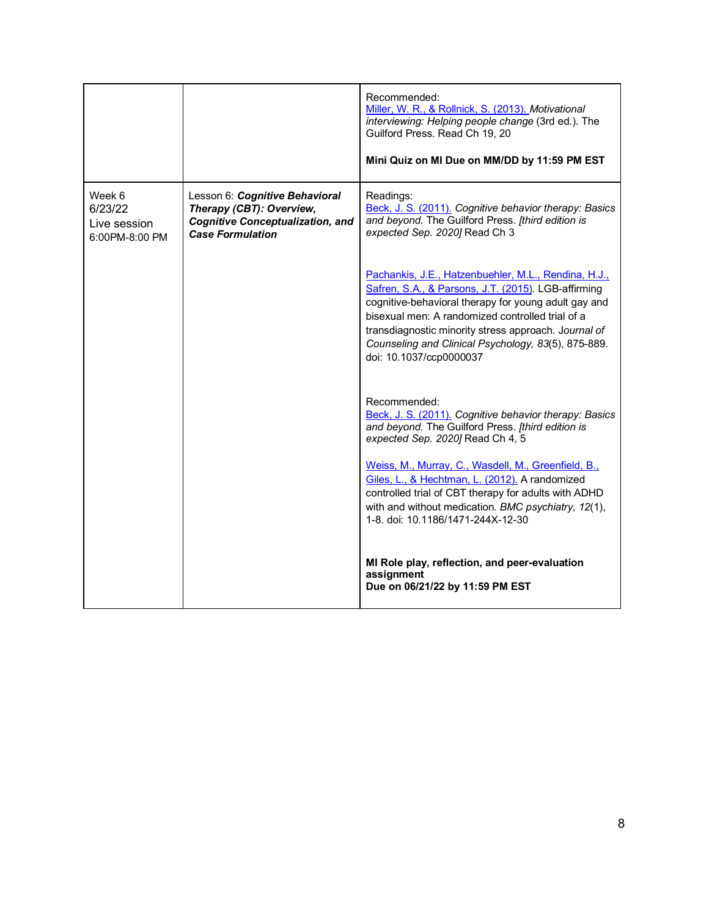|                                                     |                                                                                                                                  | Recommended:<br>Miller, W. R., & Rollnick, S. (2013). Motivational<br>interviewing: Helping people change (3rd ed.). The<br>Guilford Press. Read Ch 19, 20<br>Mini Quiz on MI Due on MM/DD by 11:59 PM EST                                                                                                                                                        |
|-----------------------------------------------------|----------------------------------------------------------------------------------------------------------------------------------|-------------------------------------------------------------------------------------------------------------------------------------------------------------------------------------------------------------------------------------------------------------------------------------------------------------------------------------------------------------------|
| Week 6<br>6/23/22<br>Live session<br>6:00PM-8:00 PM | Lesson 6: Cognitive Behavioral<br>Therapy (CBT): Overview,<br><b>Cognitive Conceptualization, and</b><br><b>Case Formulation</b> | Readings:<br>Beck, J. S. (2011). Cognitive behavior therapy: Basics<br>and beyond. The Guilford Press. [third edition is<br>expected Sep. 2020] Read Ch 3                                                                                                                                                                                                         |
|                                                     |                                                                                                                                  | Pachankis, J.E., Hatzenbuehler, M.L., Rendina, H.J.,<br>Safren, S.A., & Parsons, J.T. (2015). LGB-affirming<br>cognitive-behavioral therapy for young adult gay and<br>bisexual men: A randomized controlled trial of a<br>transdiagnostic minority stress approach. Journal of<br>Counseling and Clinical Psychology, 83(5), 875-889.<br>doi: 10.1037/ccp0000037 |
|                                                     |                                                                                                                                  | Recommended:<br>Beck, J. S. (2011). Cognitive behavior therapy: Basics<br>and beyond. The Guilford Press. [third edition is<br>expected Sep. 2020] Read Ch 4, 5                                                                                                                                                                                                   |
|                                                     |                                                                                                                                  | Weiss, M., Murray, C., Wasdell, M., Greenfield, B.,<br>Giles, L., & Hechtman, L. (2012). A randomized<br>controlled trial of CBT therapy for adults with ADHD<br>with and without medication. BMC psychiatry, 12(1),<br>1-8. doi: 10.1186/1471-244X-12-30                                                                                                         |
|                                                     |                                                                                                                                  | MI Role play, reflection, and peer-evaluation<br>assignment<br>Due on 06/21/22 by 11:59 PM EST                                                                                                                                                                                                                                                                    |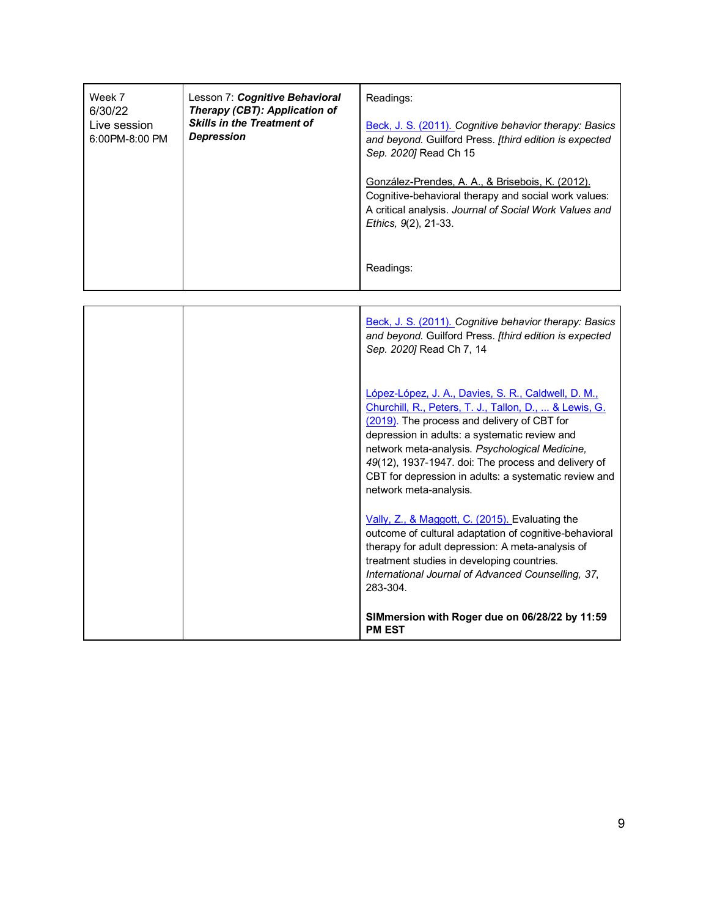| Week 7<br>6/30/22<br>Live session<br>6:00PM-8:00 PM | Lesson 7: Cognitive Behavioral<br>Therapy (CBT): Application of<br><b>Skills in the Treatment of</b><br><b>Depression</b> | Readings:<br>Beck, J. S. (2011). Cognitive behavior therapy: Basics<br>and beyond. Guilford Press. [third edition is expected<br>Sep. 2020] Read Ch 15<br>González-Prendes, A. A., & Brisebois, K. (2012).<br>Cognitive-behavioral therapy and social work values:<br>A critical analysis. Journal of Social Work Values and<br>Ethics, 9(2), 21-33.<br>Readings:                                         |
|-----------------------------------------------------|---------------------------------------------------------------------------------------------------------------------------|-----------------------------------------------------------------------------------------------------------------------------------------------------------------------------------------------------------------------------------------------------------------------------------------------------------------------------------------------------------------------------------------------------------|
|                                                     |                                                                                                                           |                                                                                                                                                                                                                                                                                                                                                                                                           |
|                                                     |                                                                                                                           | Beck, J. S. (2011). Cognitive behavior therapy: Basics<br>and beyond. Guilford Press. [third edition is expected<br>Sep. 2020] Read Ch 7, 14                                                                                                                                                                                                                                                              |
|                                                     |                                                                                                                           | López-López, J. A., Davies, S. R., Caldwell, D. M.,<br>Churchill, R., Peters, T. J., Tallon, D.,  & Lewis, G.<br>(2019). The process and delivery of CBT for<br>depression in adults: a systematic review and<br>network meta-analysis. Psychological Medicine,<br>49(12), 1937-1947. doi: The process and delivery of<br>CBT for depression in adults: a systematic review and<br>network meta-analysis. |
|                                                     |                                                                                                                           | Vally, Z., & Maggott, C. (2015). Evaluating the<br>outcome of cultural adaptation of cognitive-behavioral<br>therapy for adult depression: A meta-analysis of<br>treatment studies in developing countries.<br>International Journal of Advanced Counselling, 37,<br>283-304.                                                                                                                             |

**SIMmersion with Roger due on 06/28/22 by 11:59 PM EST**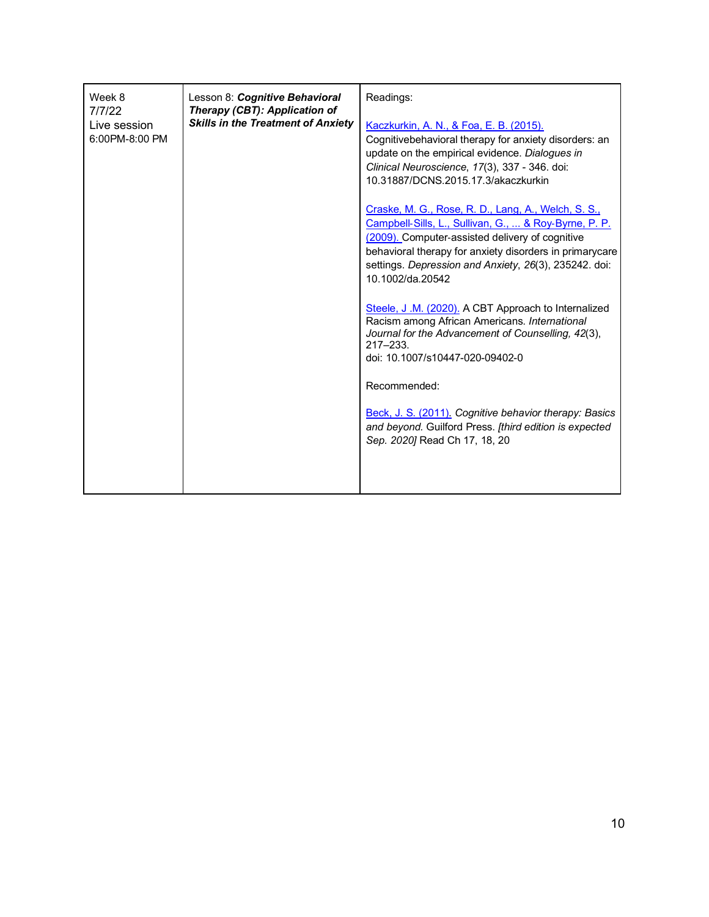| Week 8<br>Lesson 8: Cognitive Behavioral<br>7/7/22<br>Therapy (CBT): Application of<br><b>Skills in the Treatment of Anxiety</b><br>Live session<br>6:00PM-8:00 PM | Readings:<br>Kaczkurkin, A. N., & Foa, E. B. (2015).<br>Cognitivebehavioral therapy for anxiety disorders: an<br>update on the empirical evidence. Dialogues in<br>Clinical Neuroscience, 17(3), 337 - 346. doi:<br>10.31887/DCNS.2015.17.3/akaczkurkin<br>Craske, M. G., Rose, R. D., Lang, A., Welch, S. S.,<br>Campbell-Sills, L., Sullivan, G.,  & Roy-Byrne, P. P.<br>(2009). Computer-assisted delivery of cognitive<br>behavioral therapy for anxiety disorders in primarycare<br>settings. Depression and Anxiety, 26(3), 235242. doi:<br>10.1002/da.20542<br>Steele, J.M. (2020). A CBT Approach to Internalized<br>Racism among African Americans. International<br>Journal for the Advancement of Counselling, 42(3),<br>$217 - 233$ .<br>doi: 10.1007/s10447-020-09402-0<br>Recommended:<br>Beck, J. S. (2011). Cognitive behavior therapy: Basics<br>and beyond. Guilford Press. [third edition is expected<br>Sep. 2020] Read Ch 17, 18, 20 |
|--------------------------------------------------------------------------------------------------------------------------------------------------------------------|-----------------------------------------------------------------------------------------------------------------------------------------------------------------------------------------------------------------------------------------------------------------------------------------------------------------------------------------------------------------------------------------------------------------------------------------------------------------------------------------------------------------------------------------------------------------------------------------------------------------------------------------------------------------------------------------------------------------------------------------------------------------------------------------------------------------------------------------------------------------------------------------------------------------------------------------------------------|
|--------------------------------------------------------------------------------------------------------------------------------------------------------------------|-----------------------------------------------------------------------------------------------------------------------------------------------------------------------------------------------------------------------------------------------------------------------------------------------------------------------------------------------------------------------------------------------------------------------------------------------------------------------------------------------------------------------------------------------------------------------------------------------------------------------------------------------------------------------------------------------------------------------------------------------------------------------------------------------------------------------------------------------------------------------------------------------------------------------------------------------------------|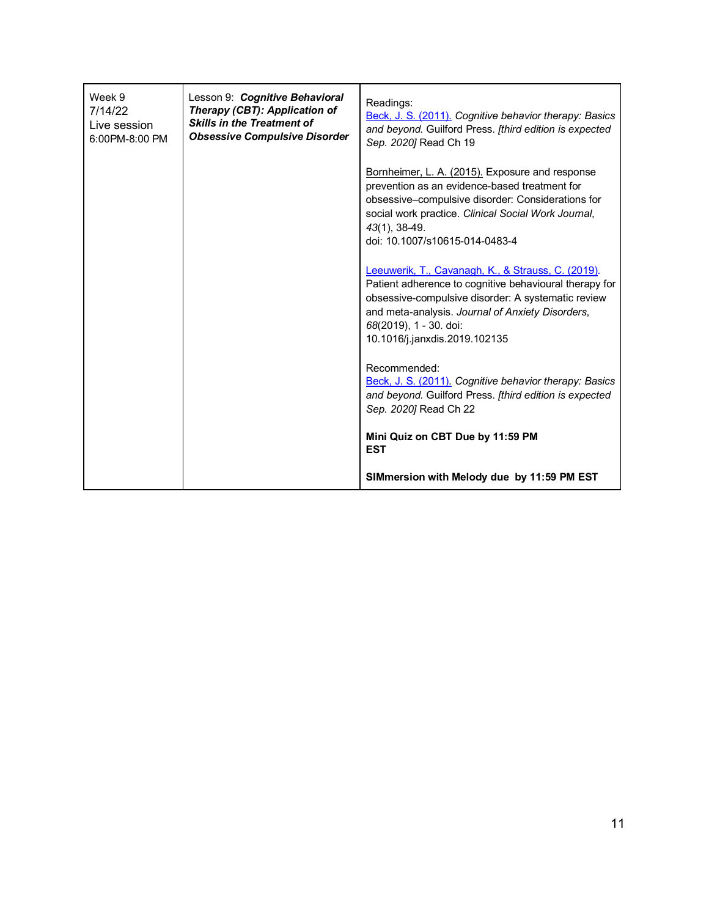| Week 9<br>7/14/22<br>Live session<br>6:00PM-8:00 PM | Lesson 9: Cognitive Behavioral<br>Therapy (CBT): Application of<br><b>Skills in the Treatment of</b><br><b>Obsessive Compulsive Disorder</b> | Readings:<br>Beck, J. S. (2011). Cognitive behavior therapy: Basics<br>and beyond. Guilford Press. [third edition is expected<br>Sep. 2020] Read Ch 19                                                                                                                            |
|-----------------------------------------------------|----------------------------------------------------------------------------------------------------------------------------------------------|-----------------------------------------------------------------------------------------------------------------------------------------------------------------------------------------------------------------------------------------------------------------------------------|
|                                                     |                                                                                                                                              | Bornheimer, L. A. (2015). Exposure and response<br>prevention as an evidence-based treatment for<br>obsessive-compulsive disorder: Considerations for<br>social work practice. Clinical Social Work Journal,<br>43(1), 38-49.<br>doi: 10.1007/s10615-014-0483-4                   |
|                                                     |                                                                                                                                              | Leeuwerik, T., Cavanagh, K., & Strauss, C. (2019).<br>Patient adherence to cognitive behavioural therapy for<br>obsessive-compulsive disorder: A systematic review<br>and meta-analysis. Journal of Anxiety Disorders,<br>68(2019), 1 - 30. doi:<br>10.1016/j.janxdis.2019.102135 |
|                                                     |                                                                                                                                              | Recommended:<br>Beck, J. S. (2011). Cognitive behavior therapy: Basics<br>and beyond. Guilford Press. [third edition is expected<br>Sep. 2020] Read Ch 22                                                                                                                         |
|                                                     |                                                                                                                                              | Mini Quiz on CBT Due by 11:59 PM<br><b>EST</b>                                                                                                                                                                                                                                    |
|                                                     |                                                                                                                                              | SIMmersion with Melody due by 11:59 PM EST                                                                                                                                                                                                                                        |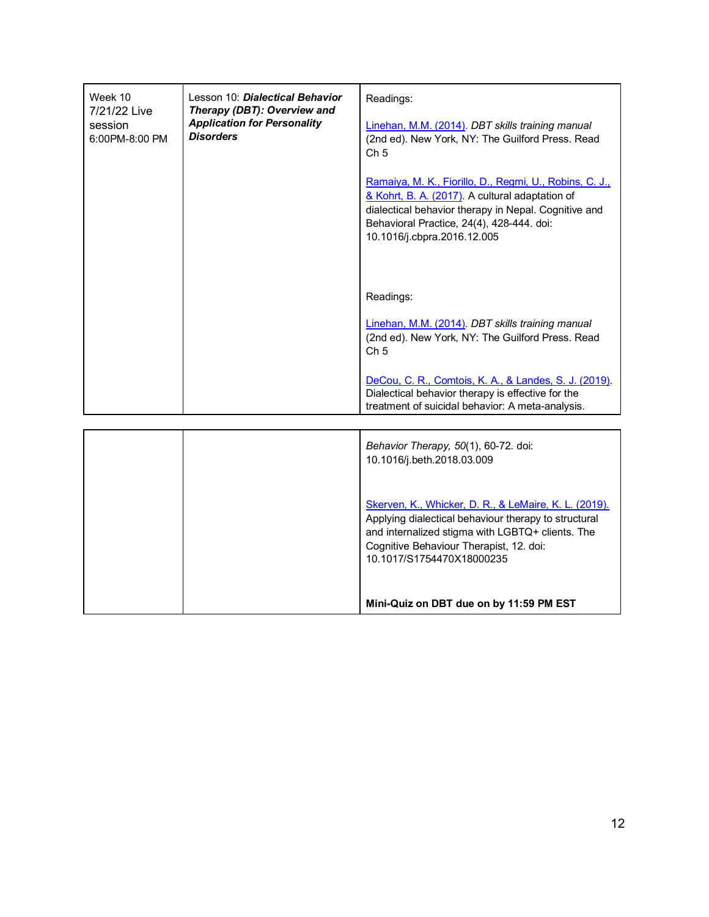| Week 10<br>7/21/22 Live<br>session<br>6:00PM-8:00 PM | Lesson 10: Dialectical Behavior<br>Therapy (DBT): Overview and<br><b>Application for Personality</b><br><b>Disorders</b> | Readings:<br>Linehan, M.M. (2014). DBT skills training manual<br>(2nd ed). New York, NY: The Guilford Press. Read<br>Ch <sub>5</sub><br>Ramaiya, M. K., Fiorillo, D., Regmi, U., Robins, C. J.,<br>& Kohrt, B. A. (2017). A cultural adaptation of<br>dialectical behavior therapy in Nepal. Cognitive and<br>Behavioral Practice, 24(4), 428-444. doi:<br>10.1016/j.cbpra.2016.12.005 |
|------------------------------------------------------|--------------------------------------------------------------------------------------------------------------------------|----------------------------------------------------------------------------------------------------------------------------------------------------------------------------------------------------------------------------------------------------------------------------------------------------------------------------------------------------------------------------------------|
|                                                      |                                                                                                                          | Readings:<br>Linehan, M.M. (2014). DBT skills training manual<br>(2nd ed). New York, NY: The Guilford Press. Read<br>Ch <sub>5</sub><br>DeCou, C. R., Comtois, K. A., & Landes, S. J. (2019).<br>Dialectical behavior therapy is effective for the<br>treatment of suicidal behavior: A meta-analysis.                                                                                 |
|                                                      |                                                                                                                          | Behavior Therapy, 50(1), 60-72. doi:<br>$10, 1010$ is the $0010, 0000$                                                                                                                                                                                                                                                                                                                 |

| Skerven, K., Whicker, D. R., & LeMaire, K. L. (2019).<br>Applying dialectical behaviour therapy to structural<br>and internalized stigma with LGBTQ+ clients. The<br>Cognitive Behaviour Therapist, 12. doi:<br>10.1017/S1754470X18000235 |
|-------------------------------------------------------------------------------------------------------------------------------------------------------------------------------------------------------------------------------------------|
| Mini-Quiz on DBT due on by 11:59 PM EST                                                                                                                                                                                                   |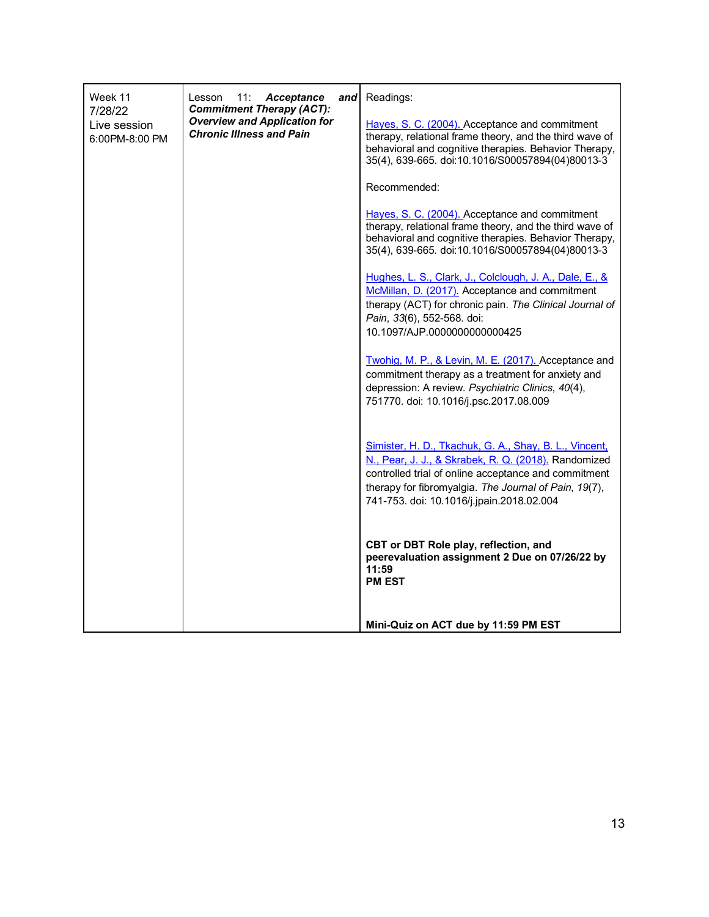| Week 11                                                                                                                                                 | 11:<br>Acceptance<br>Lesson<br>and                                                                                                                                                                                     | Readings:                                                                                                                                                                                                                                                                    |
|---------------------------------------------------------------------------------------------------------------------------------------------------------|------------------------------------------------------------------------------------------------------------------------------------------------------------------------------------------------------------------------|------------------------------------------------------------------------------------------------------------------------------------------------------------------------------------------------------------------------------------------------------------------------------|
| <b>Commitment Therapy (ACT):</b><br>7/28/22<br><b>Overview and Application for</b><br>Live session<br><b>Chronic Illness and Pain</b><br>6:00PM-8:00 PM | Hayes, S. C. (2004). Acceptance and commitment<br>therapy, relational frame theory, and the third wave of<br>behavioral and cognitive therapies. Behavior Therapy,<br>35(4), 639-665. doi:10.1016/S00057894(04)80013-3 |                                                                                                                                                                                                                                                                              |
|                                                                                                                                                         |                                                                                                                                                                                                                        | Recommended:                                                                                                                                                                                                                                                                 |
|                                                                                                                                                         |                                                                                                                                                                                                                        | Hayes, S. C. (2004). Acceptance and commitment<br>therapy, relational frame theory, and the third wave of<br>behavioral and cognitive therapies. Behavior Therapy,<br>35(4), 639-665. doi:10.1016/S00057894(04)80013-3                                                       |
|                                                                                                                                                         |                                                                                                                                                                                                                        | Hughes, L. S., Clark, J., Colclough, J. A., Dale, E., &<br>McMillan, D. (2017). Acceptance and commitment<br>therapy (ACT) for chronic pain. The Clinical Journal of<br>Pain, 33(6), 552-568. doi:<br>10.1097/AJP.0000000000000425                                           |
|                                                                                                                                                         |                                                                                                                                                                                                                        | Twohig, M. P., & Levin, M. E. (2017). Acceptance and<br>commitment therapy as a treatment for anxiety and<br>depression: A review. Psychiatric Clinics, 40(4),<br>751770. doi: 10.1016/j.psc.2017.08.009                                                                     |
|                                                                                                                                                         |                                                                                                                                                                                                                        | Simister, H. D., Tkachuk, G. A., Shay, B. L., Vincent,<br>N., Pear, J. J., & Skrabek, R. Q. (2018). Randomized<br>controlled trial of online acceptance and commitment<br>therapy for fibromyalgia. The Journal of Pain, 19(7),<br>741-753. doi: 10.1016/j.jpain.2018.02.004 |
|                                                                                                                                                         |                                                                                                                                                                                                                        | CBT or DBT Role play, reflection, and<br>peerevaluation assignment 2 Due on 07/26/22 by<br>11:59<br><b>PM EST</b>                                                                                                                                                            |
|                                                                                                                                                         |                                                                                                                                                                                                                        | Mini-Quiz on ACT due by 11:59 PM EST                                                                                                                                                                                                                                         |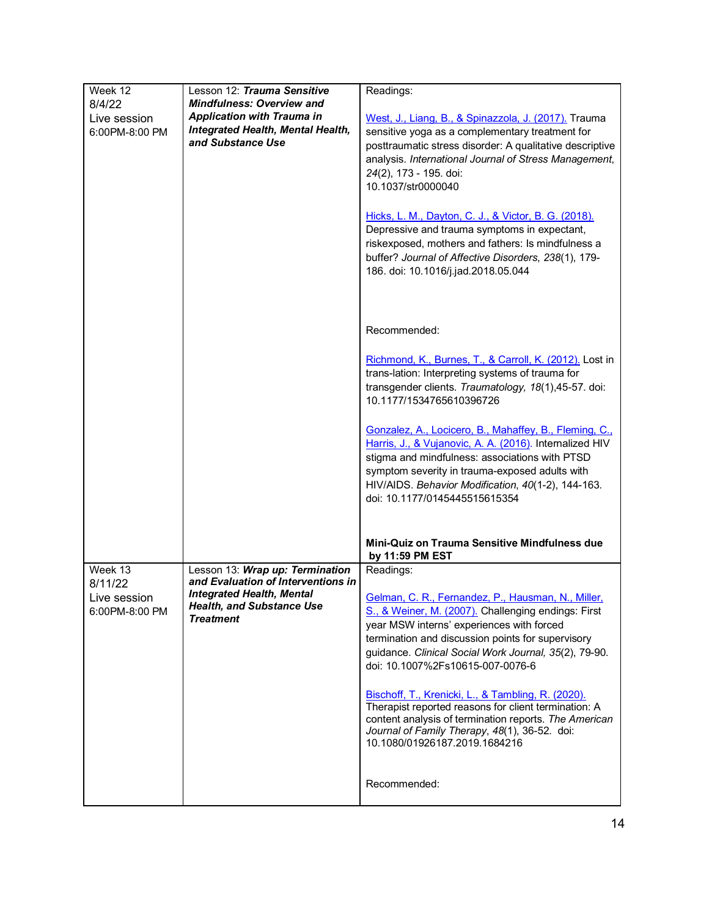| Week 12<br>8/4/22<br>Live session<br>6:00PM-8:00 PM  | Lesson 12: Trauma Sensitive<br><b>Mindfulness: Overview and</b><br><b>Application with Trauma in</b><br><b>Integrated Health, Mental Health,</b><br>and Substance Use | Readings:<br>West, J., Liang, B., & Spinazzola, J. (2017). Trauma<br>sensitive yoga as a complementary treatment for<br>posttraumatic stress disorder: A qualitative descriptive<br>analysis. International Journal of Stress Management,<br>24(2), 173 - 195. doi:<br>10.1037/str0000040<br>Hicks, L. M., Dayton, C. J., & Victor, B. G. (2018).<br>Depressive and trauma symptoms in expectant,<br>riskexposed, mothers and fathers: Is mindfulness a<br>buffer? Journal of Affective Disorders, 238(1), 179-<br>186. doi: 10.1016/j.jad.2018.05.044                         |  |
|------------------------------------------------------|-----------------------------------------------------------------------------------------------------------------------------------------------------------------------|--------------------------------------------------------------------------------------------------------------------------------------------------------------------------------------------------------------------------------------------------------------------------------------------------------------------------------------------------------------------------------------------------------------------------------------------------------------------------------------------------------------------------------------------------------------------------------|--|
|                                                      |                                                                                                                                                                       | Recommended:<br>Richmond, K., Burnes, T., & Carroll, K. (2012). Lost in<br>trans-lation: Interpreting systems of trauma for<br>transgender clients. Traumatology, 18(1),45-57. doi:<br>10.1177/1534765610396726<br>Gonzalez, A., Locicero, B., Mahaffey, B., Fleming, C.,<br>Harris, J., & Vujanovic, A. A. (2016). Internalized HIV<br>stigma and mindfulness: associations with PTSD<br>symptom severity in trauma-exposed adults with<br>HIV/AIDS. Behavior Modification, 40(1-2), 144-163.<br>doi: 10.1177/0145445515615354                                                |  |
|                                                      |                                                                                                                                                                       | Mini-Quiz on Trauma Sensitive Mindfulness due<br>by 11:59 PM EST                                                                                                                                                                                                                                                                                                                                                                                                                                                                                                               |  |
| Week 13<br>8/11/22<br>Live session<br>6:00PM-8:00 PM | Lesson 13: Wrap up: Termination<br>and Evaluation of Interventions in<br><b>Integrated Health, Mental</b><br><b>Health, and Substance Use</b><br><b>Treatment</b>     | Readings:<br>Gelman, C. R., Fernandez, P., Hausman, N., Miller,<br>S., & Weiner, M. (2007). Challenging endings: First<br>year MSW interns' experiences with forced<br>termination and discussion points for supervisory<br>guidance. Clinical Social Work Journal, 35(2), 79-90.<br>doi: 10.1007%2Fs10615-007-0076-6<br>Bischoff, T., Krenicki, L., & Tambling, R. (2020).<br>Therapist reported reasons for client termination: A<br>content analysis of termination reports. The American<br>Journal of Family Therapy, 48(1), 36-52. doi:<br>10.1080/01926187.2019.1684216 |  |
|                                                      |                                                                                                                                                                       | Recommended:                                                                                                                                                                                                                                                                                                                                                                                                                                                                                                                                                                   |  |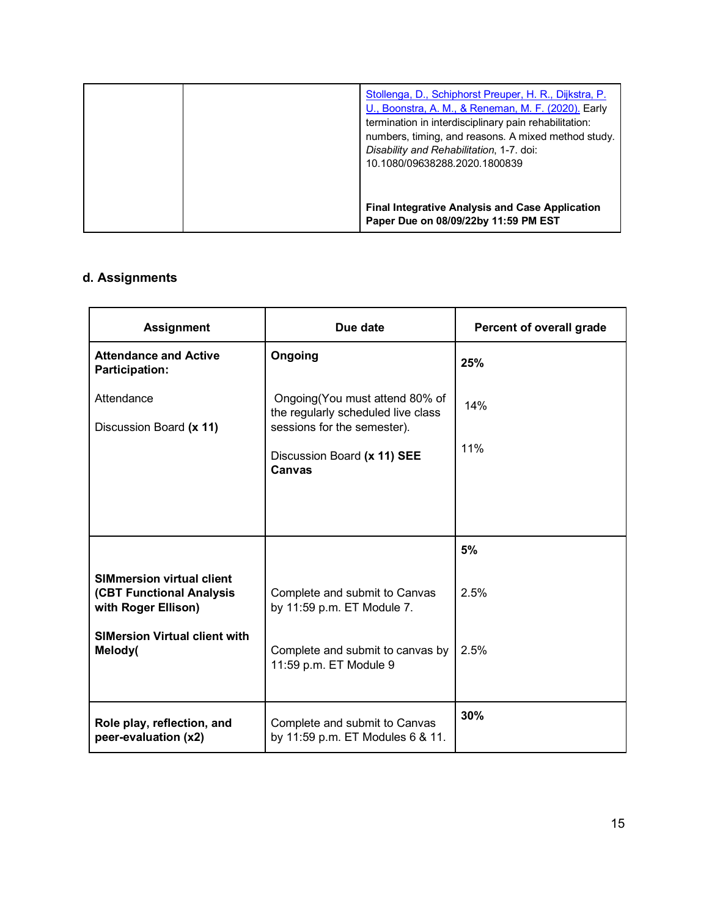| Stollenga, D., Schiphorst Preuper, H. R., Dijkstra, P.<br>U., Boonstra, A. M., & Reneman, M. F. (2020). Early<br>termination in interdisciplinary pain rehabilitation:<br>numbers, timing, and reasons. A mixed method study.<br>Disability and Rehabilitation, 1-7. doi:<br>10.1080/09638288.2020.1800839 |
|------------------------------------------------------------------------------------------------------------------------------------------------------------------------------------------------------------------------------------------------------------------------------------------------------------|
| <b>Final Integrative Analysis and Case Application</b><br>Paper Due on 08/09/22by 11:59 PM EST                                                                                                                                                                                                             |

# **d. Assignments**

| <b>Assignment</b>                                                                          | Due date                                                                                             | Percent of overall grade |
|--------------------------------------------------------------------------------------------|------------------------------------------------------------------------------------------------------|--------------------------|
| <b>Attendance and Active</b><br><b>Participation:</b>                                      | Ongoing                                                                                              | 25%                      |
| Attendance<br>Discussion Board (x 11)                                                      | Ongoing (You must attend 80% of<br>the regularly scheduled live class<br>sessions for the semester). | 14%                      |
|                                                                                            | Discussion Board (x 11) SEE<br>Canvas                                                                | 11%                      |
|                                                                                            |                                                                                                      |                          |
|                                                                                            |                                                                                                      | 5%                       |
| <b>SIMmersion virtual client</b><br><b>(CBT Functional Analysis</b><br>with Roger Ellison) | Complete and submit to Canvas<br>by 11:59 p.m. ET Module 7.                                          | 2.5%                     |
| <b>SIMersion Virtual client with</b><br>Melody(                                            | Complete and submit to canvas by<br>11:59 p.m. ET Module 9                                           | 2.5%                     |
| Role play, reflection, and<br>peer-evaluation (x2)                                         | Complete and submit to Canvas<br>by 11:59 p.m. ET Modules 6 & 11.                                    | 30%                      |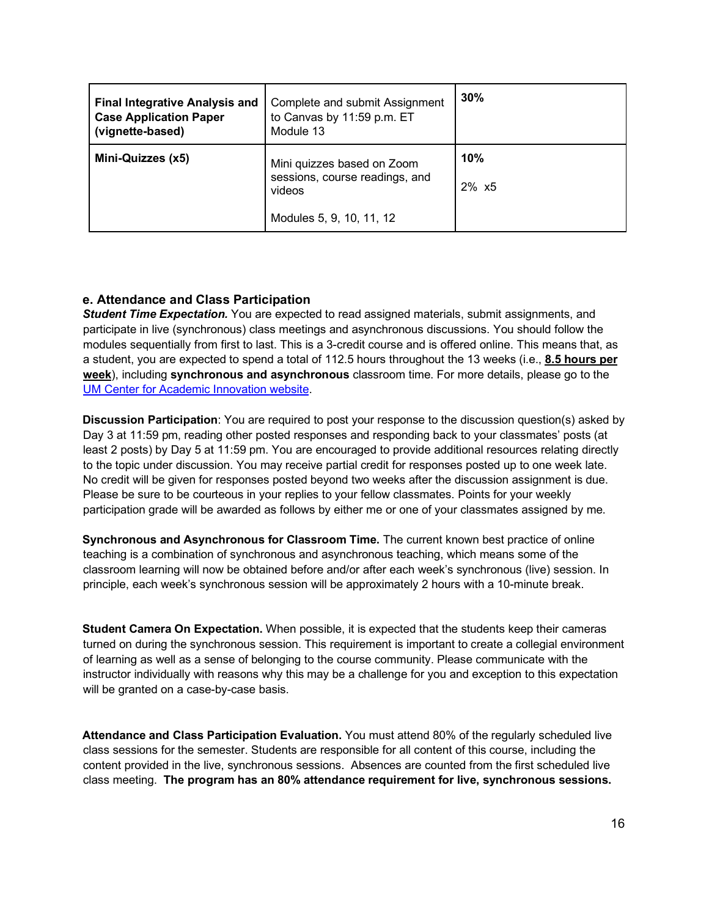| <b>Final Integrative Analysis and</b><br><b>Case Application Paper</b><br>(vignette-based) | Complete and submit Assignment<br>to Canvas by 11:59 p.m. ET<br>Module 13                          | 30%                   |
|--------------------------------------------------------------------------------------------|----------------------------------------------------------------------------------------------------|-----------------------|
| Mini-Quizzes (x5)                                                                          | Mini quizzes based on Zoom<br>sessions, course readings, and<br>videos<br>Modules 5, 9, 10, 11, 12 | 10%<br>$2\% \times 5$ |

## **e. Attendance and Class Participation**

*Student Time Expectation.* You are expected to read assigned materials, submit assignments, and participate in live (synchronous) class meetings and asynchronous discussions. You should follow the modules sequentially from first to last. This is a 3-credit course and is offered online. This means that, as a student, you are expected to spend a total of 112.5 hours throughout the 13 weeks (i.e., **8.5 hours per week**), including **synchronous and asynchronous** classroom time. For more details, please go to the UM Center for Academic Innovation website.

**Discussion Participation**: You are required to post your response to the discussion question(s) asked by Day 3 at 11:59 pm, reading other posted responses and responding back to your classmates' posts (at least 2 posts) by Day 5 at 11:59 pm. You are encouraged to provide additional resources relating directly to the topic under discussion. You may receive partial credit for responses posted up to one week late. No credit will be given for responses posted beyond two weeks after the discussion assignment is due. Please be sure to be courteous in your replies to your fellow classmates. Points for your weekly participation grade will be awarded as follows by either me or one of your classmates assigned by me.

**Synchronous and Asynchronous for Classroom Time.** The current known best practice of online teaching is a combination of synchronous and asynchronous teaching, which means some of the classroom learning will now be obtained before and/or after each week's synchronous (live) session. In principle, each week's synchronous session will be approximately 2 hours with a 10-minute break.

**Student Camera On Expectation.** When possible, it is expected that the students keep their cameras turned on during the synchronous session. This requirement is important to create a collegial environment of learning as well as a sense of belonging to the course community. Please communicate with the instructor individually with reasons why this may be a challenge for you and exception to this expectation will be granted on a case-by-case basis.

**Attendance and Class Participation Evaluation.** You must attend 80% of the regularly scheduled live class sessions for the semester. Students are responsible for all content of this course, including the content provided in the live, synchronous sessions. Absences are counted from the first scheduled live class meeting. **The program has an 80% attendance requirement for live, synchronous sessions.**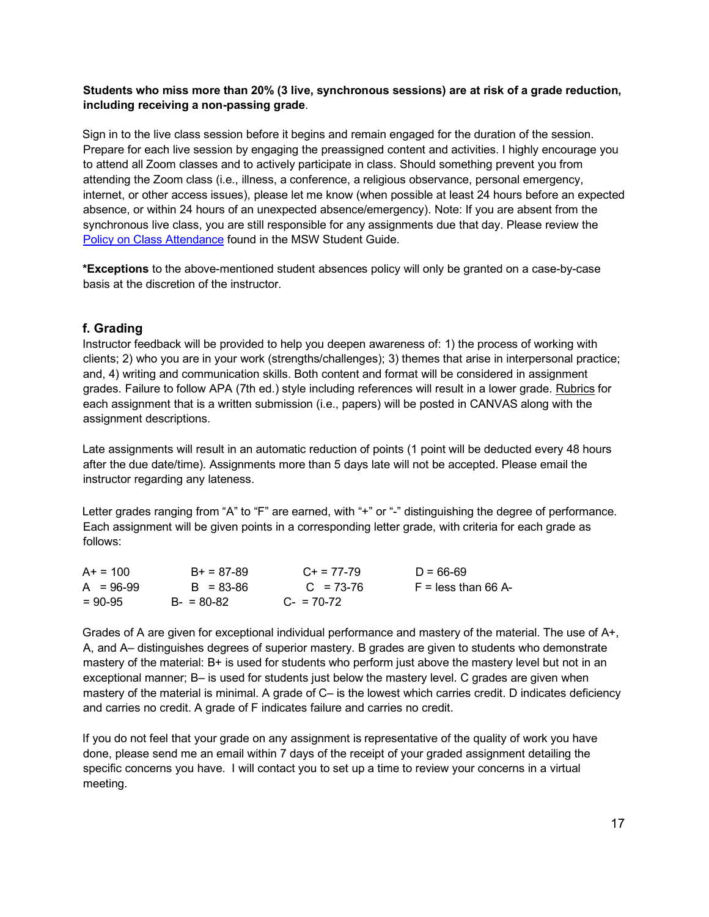#### **Students who miss more than 20% (3 live, synchronous sessions) are at risk of a grade reduction, including receiving a non-passing grade**.

Sign in to the live class session before it begins and remain engaged for the duration of the session. Prepare for each live session by engaging the preassigned content and activities. I highly encourage you to attend all Zoom classes and to actively participate in class. Should something prevent you from attending the Zoom class (i.e., illness, a conference, a religious observance, personal emergency, internet, or other access issues), please let me know (when possible at least 24 hours before an expected absence, or within 24 hours of an unexpected absence/emergency). Note: If you are absent from the synchronous live class, you are still responsible for any assignments due that day. Please review the [Policy on Class Attendance](https://ssw.umich.edu/msw-student-guide/section/1.09.00/17/policy-on-class-attendance) [f](https://ssw.umich.edu/msw-student-guide/section/1.09.00/17/policy-on-class-attendance)ound in the MSW Student Guide.

**\*Exceptions** to the above-mentioned student absences policy will only be granted on a case-by-case basis at the discretion of the instructor.

## **f. Grading**

Instructor feedback will be provided to help you deepen awareness of: 1) the process of working with clients; 2) who you are in your work (strengths/challenges); 3) themes that arise in interpersonal practice; and, 4) writing and communication skills. Both content and format will be considered in assignment grades. Failure to follow APA (7th ed.) style including references will result in a lower grade. Rubrics for each assignment that is a written submission (i.e., papers) will be posted in CANVAS along with the assignment descriptions.

Late assignments will result in an automatic reduction of points (1 point will be deducted every 48 hours after the due date/time). Assignments more than 5 days late will not be accepted. Please email the instructor regarding any lateness.

Letter grades ranging from "A" to "F" are earned, with "+" or "-" distinguishing the degree of performance. Each assignment will be given points in a corresponding letter grade, with criteria for each grade as follows:

| $A+ = 100$  | $B+ = 87-89$  | $C_{+}$ = 77-79 | $D = 66-69$           |
|-------------|---------------|-----------------|-----------------------|
| $A = 96-99$ | $B = 83 - 86$ | $C = 73-76$     | $F =$ less than 66 A- |
| $= 90 - 95$ | $B - 80 - 82$ | $C = 70-72$     |                       |

Grades of A are given for exceptional individual performance and mastery of the material. The use of A+, A, and A– distinguishes degrees of superior mastery. B grades are given to students who demonstrate mastery of the material: B+ is used for students who perform just above the mastery level but not in an exceptional manner; B– is used for students just below the mastery level. C grades are given when mastery of the material is minimal. A grade of C– is the lowest which carries credit. D indicates deficiency and carries no credit. A grade of F indicates failure and carries no credit.

If you do not feel that your grade on any assignment is representative of the quality of work you have done, please send me an email within 7 days of the receipt of your graded assignment detailing the specific concerns you have. I will contact you to set up a time to review your concerns in a virtual meeting.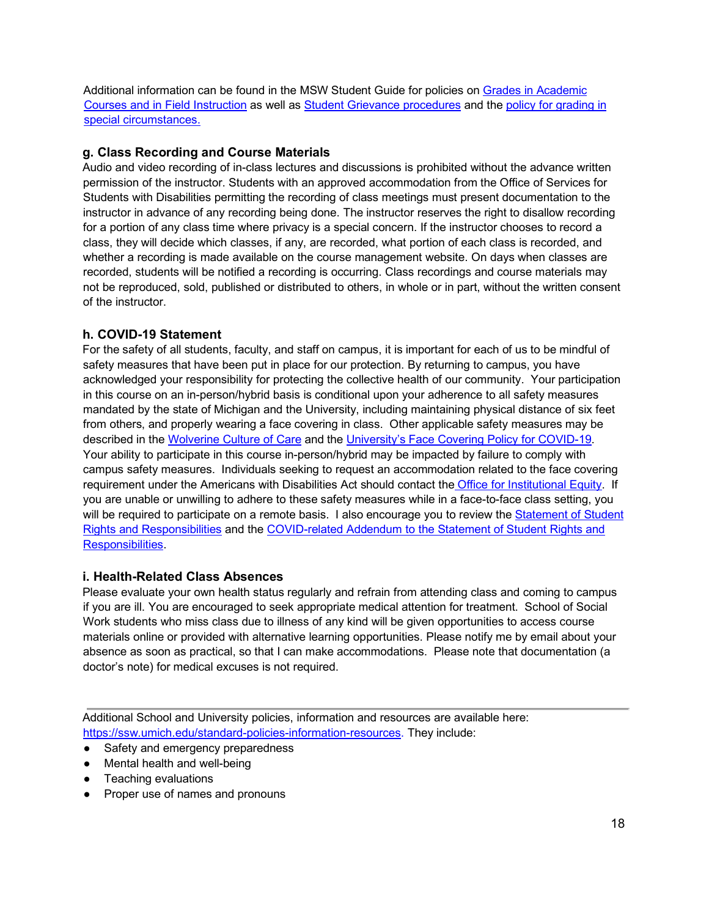Additio[n](http://ssw.umich.edu/msw-student-guide/chapter/1.08/grades-in-academic-courses-and-in-field-instruction)al information can be found in the MSW Student Guide for policies on [Grades in Academic](http://ssw.umich.edu/msw-student-guide/chapter/1.08/grades-in-academic-courses-and-in-field-instruction) [Courses and in Field Instruction](http://ssw.umich.edu/msw-student-guide/chapter/1.08/grades-in-academic-courses-and-in-field-instruction) as well as [Student Grievance procedures](http://ssw.umich.edu/msw-student-guide/chapter/1.18/student-grievances) and th[e](https://ssw.umich.edu/msw-student-guide/section/1.08.01/15/grades-for-special-circumstances) [policy for grading in](https://ssw.umich.edu/msw-student-guide/section/1.08.01/15/grades-for-special-circumstances) [special circumstances.](https://ssw.umich.edu/msw-student-guide/section/1.08.01/15/grades-for-special-circumstances)

#### **g. Class Recording and Course Materials**

Audio and video recording of in-class lectures and discussions is prohibited without the advance written permission of the instructor. Students with an approved accommodation from the Office of Services for Students with Disabilities permitting the recording of class meetings must present documentation to the instructor in advance of any recording being done. The instructor reserves the right to disallow recording for a portion of any class time where privacy is a special concern. If the instructor chooses to record a class, they will decide which classes, if any, are recorded, what portion of each class is recorded, and whether a recording is made available on the course management website. On days when classes are recorded, students will be notified a recording is occurring. Class recordings and course materials may not be reproduced, sold, published or distributed to others, in whole or in part, without the written consent of the instructor.

#### **h. COVID-19 Statement**

For the safety of all students, faculty, and staff on campus, it is important for each of us to be mindful of safety measures that have been put in place for our protection. By returning to campus, you have acknowledged your responsibility for protecting the collective health of our community. Your participation in this course on an in-person/hybrid basis is conditional upon your adherence to all safety measures mandated by the state of Michigan and the University, including maintaining physical distance of six feet from others, and properly wearing a face covering in class. Other applicable safety measures may be described in th[e](https://campusblueprint.umich.edu/uploads/Wolverine_Culture_of_Care%20sign_8.5x11_UPDATED_071520.pdf) [Wolverine Culture of Care](https://campusblueprint.umich.edu/uploads/Wolverine_Culture_of_Care%20sign_8.5x11_UPDATED_071520.pdf) and the [University's Face Covering Policy for COVID-19.](http://ehs.umich.edu/wp-content/uploads/2020/07/U-M-Face-Covering-Policy-for-COVID-19.pdf)  Your ability to participate in this course in-person/hybrid may be impacted by failure to comply with campus safety measures. Individuals seeking to request an accommodation related to the face covering requirement under the Americans with Disabilities Act should contact th[e](https://oie.umich.edu/american-with-disabilities-act-ada/) [Office for Institutional Equity.](https://oie.umich.edu/american-with-disabilities-act-ada/) If you are unable or unwilling to adhere to these safety measures while in a face-to-face class setting, you will be required to participate on a remote basis. I also encourage you to review th[e Statement of Student](https://oscr.umich.edu/statement#1) [Rights and Responsibilities](https://oscr.umich.edu/statement#1) [a](https://oscr.umich.edu/statement#1)nd the [COVID-related Addendum to the Statement of Student Rights and](https://oscr.umich.edu/sites/oscr.umich.edu/files/2020_statement_addendum_final_approved.pdf) [Responsibilities.](https://oscr.umich.edu/sites/oscr.umich.edu/files/2020_statement_addendum_final_approved.pdf) 

#### **i. Health-Related Class Absences**

Please evaluate your own health status regularly and refrain from attending class and coming to campus if you are ill. You are encouraged to seek appropriate medical attention for treatment. School of Social Work students who miss class due to illness of any kind will be given opportunities to access course materials online or provided with alternative learning opportunities. Please notify me by email about your absence as soon as practical, so that I can make accommodations. Please note that documentation (a doctor's note) for medical excuses is not required.

Additional School and University policies, information and resources are available here: [https://ssw.umich.edu/standard-policies-information-resources.](https://ssw.umich.edu/standard-policies-information-resources) They include:

- Safety and emergency preparedness
- Mental health and well-being
- Teaching evaluations
- Proper use of names and pronouns